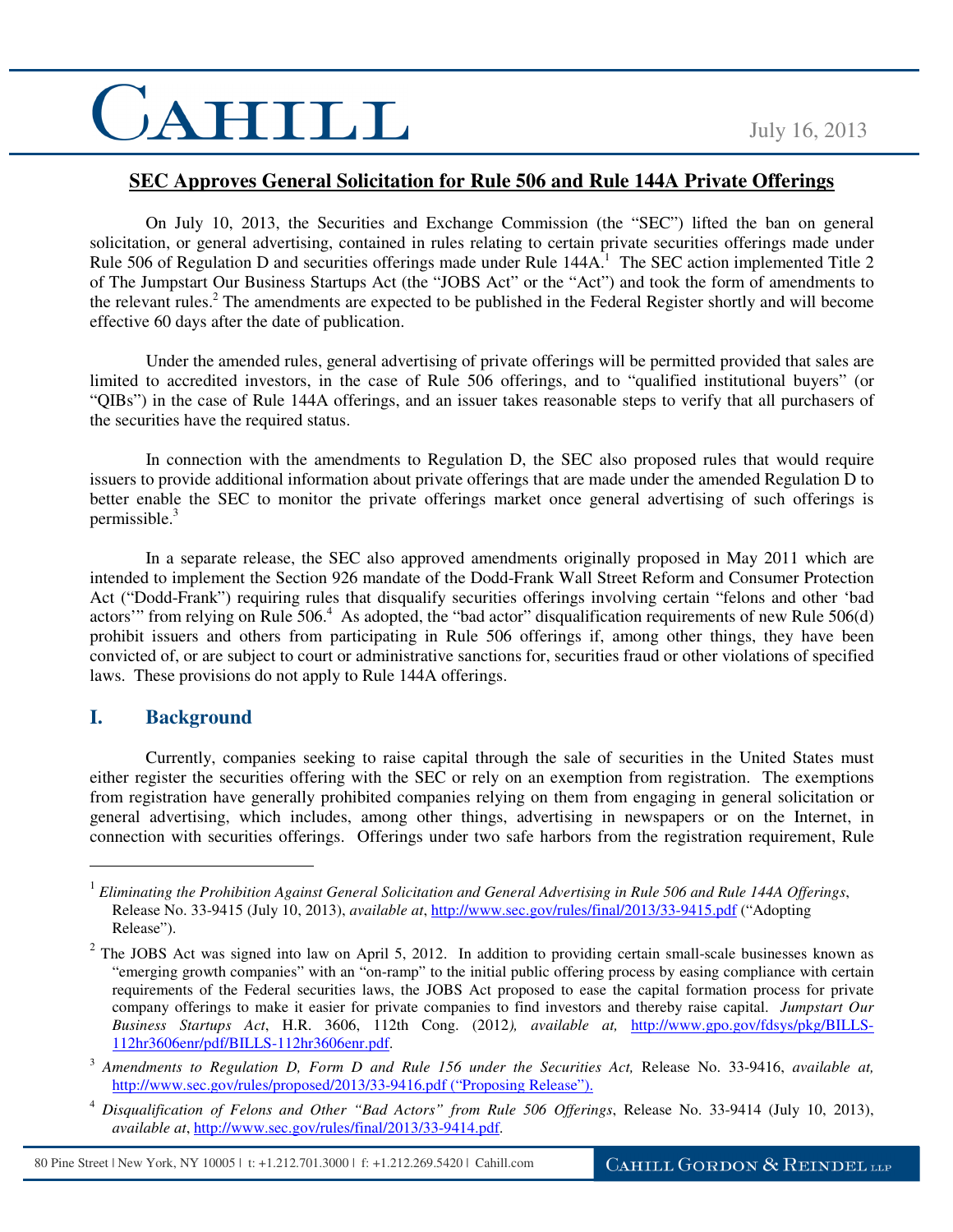### **SEC Approves General Solicitation for Rule 506 and Rule 144A Private Offerings**

On July 10, 2013, the Securities and Exchange Commission (the "SEC") lifted the ban on general solicitation, or general advertising, contained in rules relating to certain private securities offerings made under Rule 506 of Regulation D and securities offerings made under Rule  $144A$ <sup>1</sup>. The SEC action implemented Title 2 of The Jumpstart Our Business Startups Act (the "JOBS Act" or the "Act") and took the form of amendments to the relevant rules.<sup>2</sup> The amendments are expected to be published in the Federal Register shortly and will become effective 60 days after the date of publication.

Under the amended rules, general advertising of private offerings will be permitted provided that sales are limited to accredited investors, in the case of Rule 506 offerings, and to "qualified institutional buyers" (or "QIBs") in the case of Rule 144A offerings, and an issuer takes reasonable steps to verify that all purchasers of the securities have the required status.

In connection with the amendments to Regulation D, the SEC also proposed rules that would require issuers to provide additional information about private offerings that are made under the amended Regulation D to better enable the SEC to monitor the private offerings market once general advertising of such offerings is permissible. $3$ 

In a separate release, the SEC also approved amendments originally proposed in May 2011 which are intended to implement the Section 926 mandate of the Dodd-Frank Wall Street Reform and Consumer Protection Act ("Dodd-Frank") requiring rules that disqualify securities offerings involving certain "felons and other 'bad actors'" from relying on Rule 506.<sup>4</sup> As adopted, the "bad actor" disqualification requirements of new Rule 506(d) prohibit issuers and others from participating in Rule 506 offerings if, among other things, they have been convicted of, or are subject to court or administrative sanctions for, securities fraud or other violations of specified laws. These provisions do not apply to Rule 144A offerings.

### **I. Background**

 $\overline{a}$ 

Currently, companies seeking to raise capital through the sale of securities in the United States must either register the securities offering with the SEC or rely on an exemption from registration. The exemptions from registration have generally prohibited companies relying on them from engaging in general solicitation or general advertising, which includes, among other things, advertising in newspapers or on the Internet, in connection with securities offerings. Offerings under two safe harbors from the registration requirement, Rule

<sup>4</sup> *Disqualification of Felons and Other "Bad Actors" from Rule 506 Offerings*, Release No. 33-9414 (July 10, 2013), *available at*, http://www.sec.gov/rules/final/2013/33-9414.pdf.

80 Pine Street | New York, NY 10005 | t: +1.212.701.3000 | f: +1.212.269.5420 | Cahill.com

<sup>1</sup> *Eliminating the Prohibition Against General Solicitation and General Advertising in Rule 506 and Rule 144A Offerings*, Release No. 33-9415 (July 10, 2013), *available at*, http://www.sec.gov/rules/final/2013/33-9415.pdf ("Adopting Release").

 $2$  The JOBS Act was signed into law on April 5, 2012. In addition to providing certain small-scale businesses known as "emerging growth companies" with an "on-ramp" to the initial public offering process by easing compliance with certain requirements of the Federal securities laws, the JOBS Act proposed to ease the capital formation process for private company offerings to make it easier for private companies to find investors and thereby raise capital. *Jumpstart Our Business Startups Act*, H.R. 3606, 112th Cong. (2012*), available at,* http://www.gpo.gov/fdsys/pkg/BILLS-112hr3606enr/pdf/BILLS-112hr3606enr.pdf.

<sup>3</sup> *Amendments to Regulation D, Form D and Rule 156 under the Securities Act,* Release No. 33-9416, *available at,* http://www.sec.gov/rules/proposed/2013/33-9416.pdf ("Proposing Release").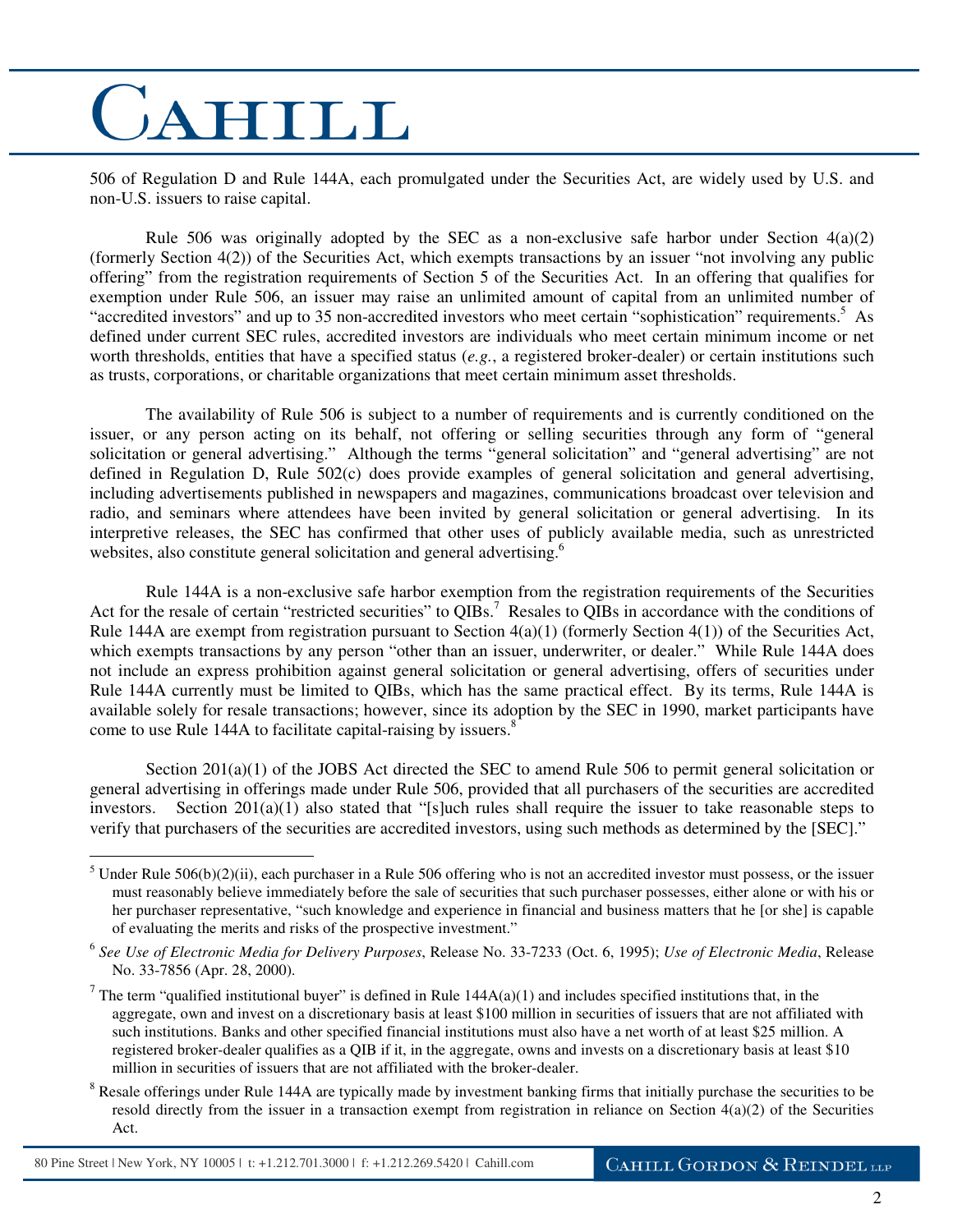506 of Regulation D and Rule 144A, each promulgated under the Securities Act, are widely used by U.S. and non-U.S. issuers to raise capital.

Rule 506 was originally adopted by the SEC as a non-exclusive safe harbor under Section  $4(a)(2)$ (formerly Section 4(2)) of the Securities Act, which exempts transactions by an issuer "not involving any public offering" from the registration requirements of Section 5 of the Securities Act. In an offering that qualifies for exemption under Rule 506, an issuer may raise an unlimited amount of capital from an unlimited number of "accredited investors" and up to 35 non-accredited investors who meet certain "sophistication" requirements.<sup>5</sup> As defined under current SEC rules, accredited investors are individuals who meet certain minimum income or net worth thresholds, entities that have a specified status (*e.g.*, a registered broker-dealer) or certain institutions such as trusts, corporations, or charitable organizations that meet certain minimum asset thresholds.

The availability of Rule 506 is subject to a number of requirements and is currently conditioned on the issuer, or any person acting on its behalf, not offering or selling securities through any form of "general solicitation or general advertising." Although the terms "general solicitation" and "general advertising" are not defined in Regulation D, Rule 502(c) does provide examples of general solicitation and general advertising, including advertisements published in newspapers and magazines, communications broadcast over television and radio, and seminars where attendees have been invited by general solicitation or general advertising. In its interpretive releases, the SEC has confirmed that other uses of publicly available media, such as unrestricted websites, also constitute general solicitation and general advertising.<sup>6</sup>

Rule 144A is a non-exclusive safe harbor exemption from the registration requirements of the Securities Act for the resale of certain "restricted securities" to QIBs.<sup>7</sup> Resales to QIBs in accordance with the conditions of Rule 144A are exempt from registration pursuant to Section  $4(a)(1)$  (formerly Section  $4(1)$ ) of the Securities Act, which exempts transactions by any person "other than an issuer, underwriter, or dealer." While Rule 144A does not include an express prohibition against general solicitation or general advertising, offers of securities under Rule 144A currently must be limited to QIBs, which has the same practical effect. By its terms, Rule 144A is available solely for resale transactions; however, since its adoption by the SEC in 1990, market participants have come to use Rule 144A to facilitate capital-raising by issuers. $8<sup>8</sup>$ 

Section 201(a)(1) of the JOBS Act directed the SEC to amend Rule 506 to permit general solicitation or general advertising in offerings made under Rule 506, provided that all purchasers of the securities are accredited investors. Section  $201(a)(1)$  also stated that "[s]uch rules shall require the issuer to take reasonable steps to verify that purchasers of the securities are accredited investors, using such methods as determined by the [SEC]."

<sup>&</sup>lt;sup>5</sup> Under Rule 506(b)(2)(ii), each purchaser in a Rule 506 offering who is not an accredited investor must possess, or the issuer must reasonably believe immediately before the sale of securities that such purchaser possesses, either alone or with his or her purchaser representative, "such knowledge and experience in financial and business matters that he [or she] is capable of evaluating the merits and risks of the prospective investment."

<sup>6</sup> *See Use of Electronic Media for Delivery Purposes*, Release No. 33-7233 (Oct. 6, 1995); *Use of Electronic Media*, Release No. 33-7856 (Apr. 28, 2000).

<sup>&</sup>lt;sup>7</sup> The term "qualified institutional buyer" is defined in Rule  $144A(a)(1)$  and includes specified institutions that, in the aggregate, own and invest on a discretionary basis at least \$100 million in securities of issuers that are not affiliated with such institutions. Banks and other specified financial institutions must also have a net worth of at least \$25 million. A registered broker-dealer qualifies as a QIB if it, in the aggregate, owns and invests on a discretionary basis at least \$10 million in securities of issuers that are not affiliated with the broker-dealer.

<sup>&</sup>lt;sup>8</sup> Resale offerings under Rule 144A are typically made by investment banking firms that initially purchase the securities to be resold directly from the issuer in a transaction exempt from registration in reliance on Section 4(a)(2) of the Securities Act.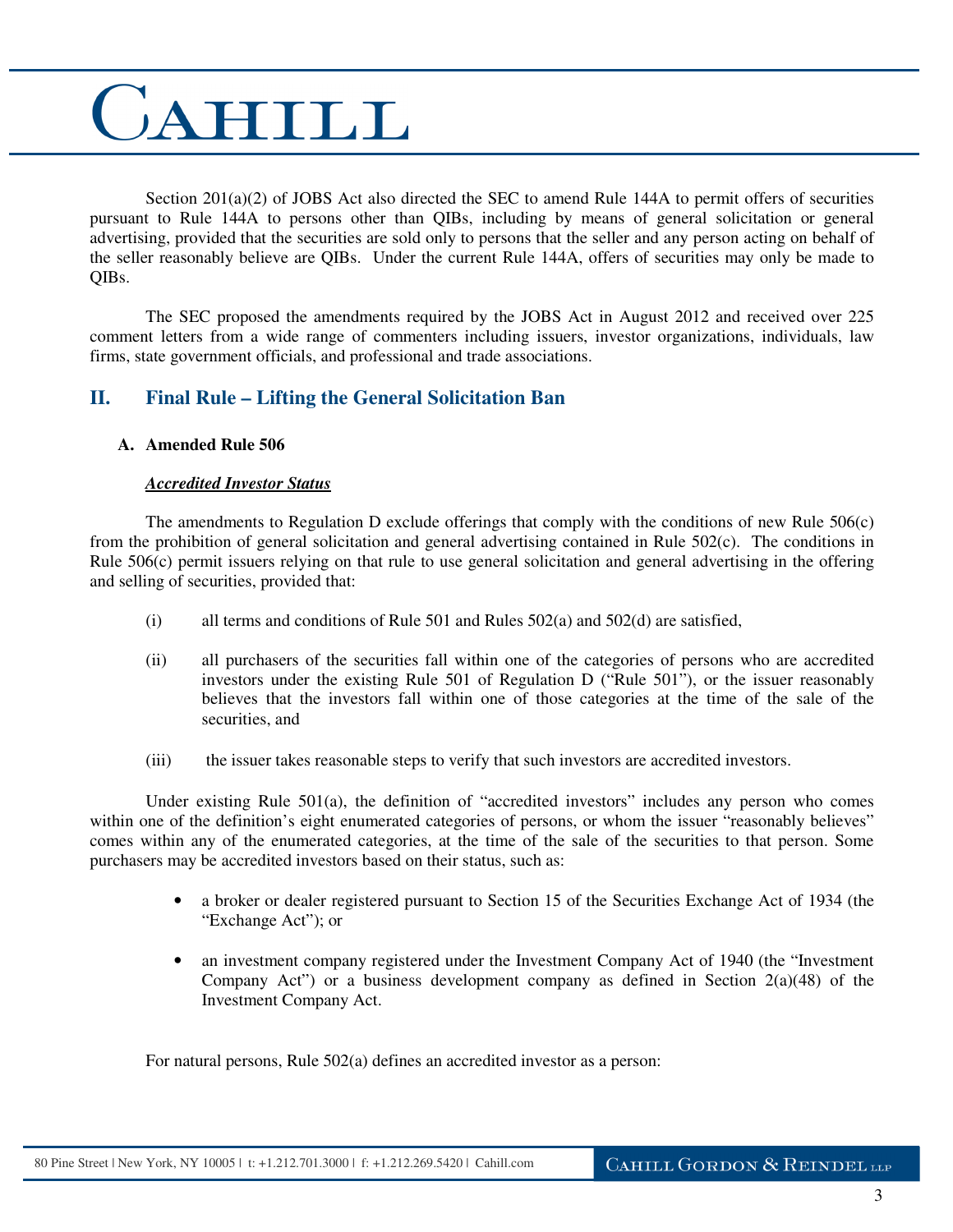Section 201(a)(2) of JOBS Act also directed the SEC to amend Rule 144A to permit offers of securities pursuant to Rule 144A to persons other than QIBs, including by means of general solicitation or general advertising, provided that the securities are sold only to persons that the seller and any person acting on behalf of the seller reasonably believe are QIBs. Under the current Rule 144A, offers of securities may only be made to QIBs.

The SEC proposed the amendments required by the JOBS Act in August 2012 and received over 225 comment letters from a wide range of commenters including issuers, investor organizations, individuals, law firms, state government officials, and professional and trade associations.

### **II. Final Rule – Lifting the General Solicitation Ban**

### **A. Amended Rule 506**

### *Accredited Investor Status*

The amendments to Regulation D exclude offerings that comply with the conditions of new Rule 506(c) from the prohibition of general solicitation and general advertising contained in Rule 502(c). The conditions in Rule  $506(c)$  permit issuers relying on that rule to use general solicitation and general advertising in the offering and selling of securities, provided that:

- (i) all terms and conditions of Rule 501 and Rules 502(a) and 502(d) are satisfied,
- (ii) all purchasers of the securities fall within one of the categories of persons who are accredited investors under the existing Rule 501 of Regulation D ("Rule 501"), or the issuer reasonably believes that the investors fall within one of those categories at the time of the sale of the securities, and
- (iii) the issuer takes reasonable steps to verify that such investors are accredited investors.

Under existing Rule 501(a), the definition of "accredited investors" includes any person who comes within one of the definition's eight enumerated categories of persons, or whom the issuer "reasonably believes" comes within any of the enumerated categories, at the time of the sale of the securities to that person. Some purchasers may be accredited investors based on their status, such as:

- a broker or dealer registered pursuant to Section 15 of the Securities Exchange Act of 1934 (the "Exchange Act"); or
- an investment company registered under the Investment Company Act of 1940 (the "Investment" Company Act") or a business development company as defined in Section  $2(a)(48)$  of the Investment Company Act.

For natural persons, Rule 502(a) defines an accredited investor as a person: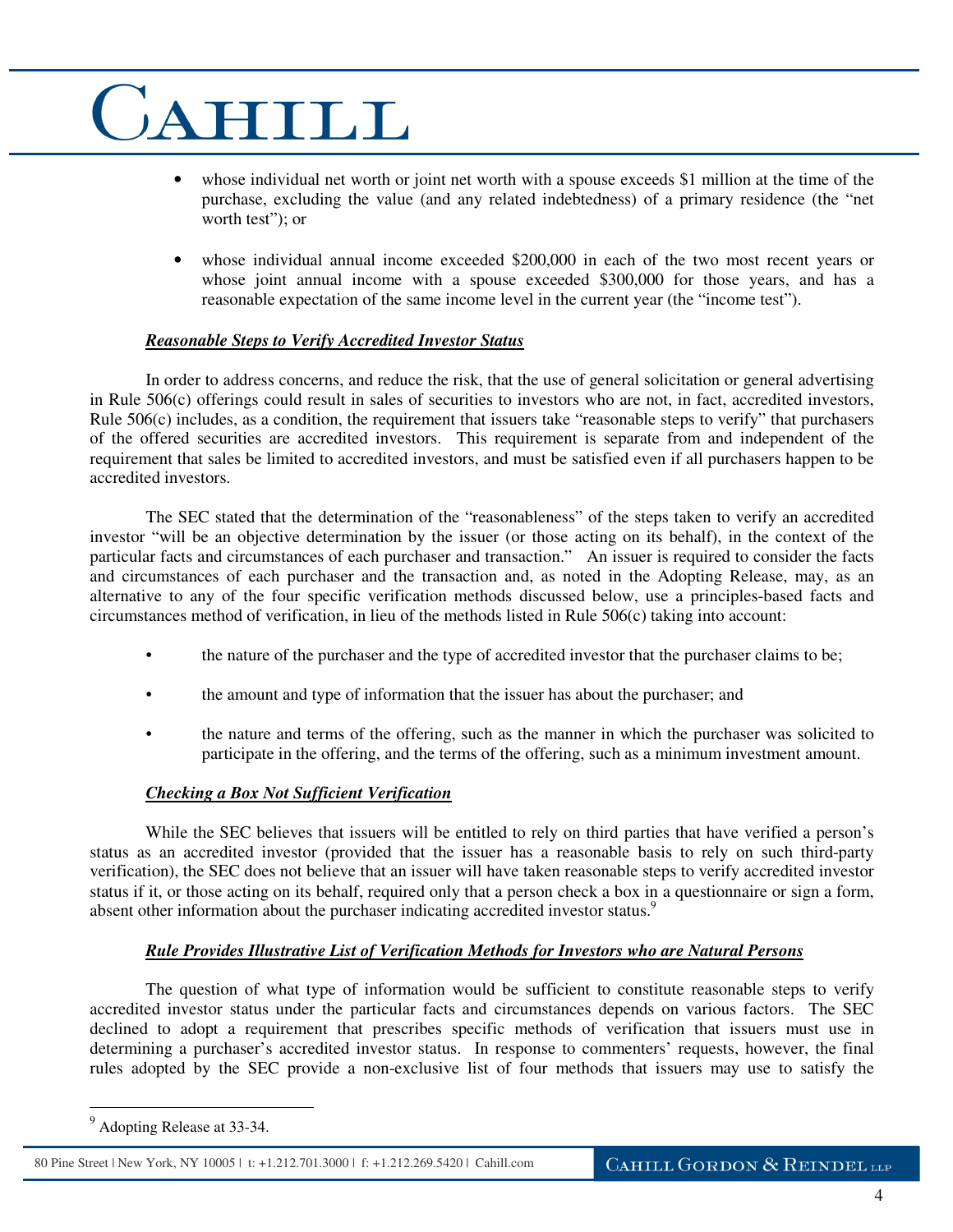- whose individual net worth or joint net worth with a spouse exceeds \$1 million at the time of the purchase, excluding the value (and any related indebtedness) of a primary residence (the "net worth test"); or
- whose individual annual income exceeded \$200,000 in each of the two most recent years or whose joint annual income with a spouse exceeded \$300,000 for those years, and has a reasonable expectation of the same income level in the current year (the "income test").

### *Reasonable Steps to Verify Accredited Investor Status*

In order to address concerns, and reduce the risk, that the use of general solicitation or general advertising in Rule 506(c) offerings could result in sales of securities to investors who are not, in fact, accredited investors, Rule 506(c) includes, as a condition, the requirement that issuers take "reasonable steps to verify" that purchasers of the offered securities are accredited investors. This requirement is separate from and independent of the requirement that sales be limited to accredited investors, and must be satisfied even if all purchasers happen to be accredited investors.

The SEC stated that the determination of the "reasonableness" of the steps taken to verify an accredited investor "will be an objective determination by the issuer (or those acting on its behalf), in the context of the particular facts and circumstances of each purchaser and transaction." An issuer is required to consider the facts and circumstances of each purchaser and the transaction and, as noted in the Adopting Release, may, as an alternative to any of the four specific verification methods discussed below, use a principles-based facts and circumstances method of verification, in lieu of the methods listed in Rule 506(c) taking into account:

- the nature of the purchaser and the type of accredited investor that the purchaser claims to be;
- the amount and type of information that the issuer has about the purchaser; and
- the nature and terms of the offering, such as the manner in which the purchaser was solicited to participate in the offering, and the terms of the offering, such as a minimum investment amount.

### *Checking a Box Not Sufficient Verification*

While the SEC believes that issuers will be entitled to rely on third parties that have verified a person's status as an accredited investor (provided that the issuer has a reasonable basis to rely on such third-party verification), the SEC does not believe that an issuer will have taken reasonable steps to verify accredited investor status if it, or those acting on its behalf, required only that a person check a box in a questionnaire or sign a form, absent other information about the purchaser indicating accredited investor status.<sup>9</sup>

### *Rule Provides Illustrative List of Verification Methods for Investors who are Natural Persons*

The question of what type of information would be sufficient to constitute reasonable steps to verify accredited investor status under the particular facts and circumstances depends on various factors. The SEC declined to adopt a requirement that prescribes specific methods of verification that issuers must use in determining a purchaser's accredited investor status. In response to commenters' requests, however, the final rules adopted by the SEC provide a non-exclusive list of four methods that issuers may use to satisfy the

<sup>&</sup>lt;sup>9</sup> Adopting Release at 33-34.

<sup>80</sup> Pine Street | New York, NY 10005 | t: +1.212.701.3000 | f: +1.212.269.5420 | Cahill.com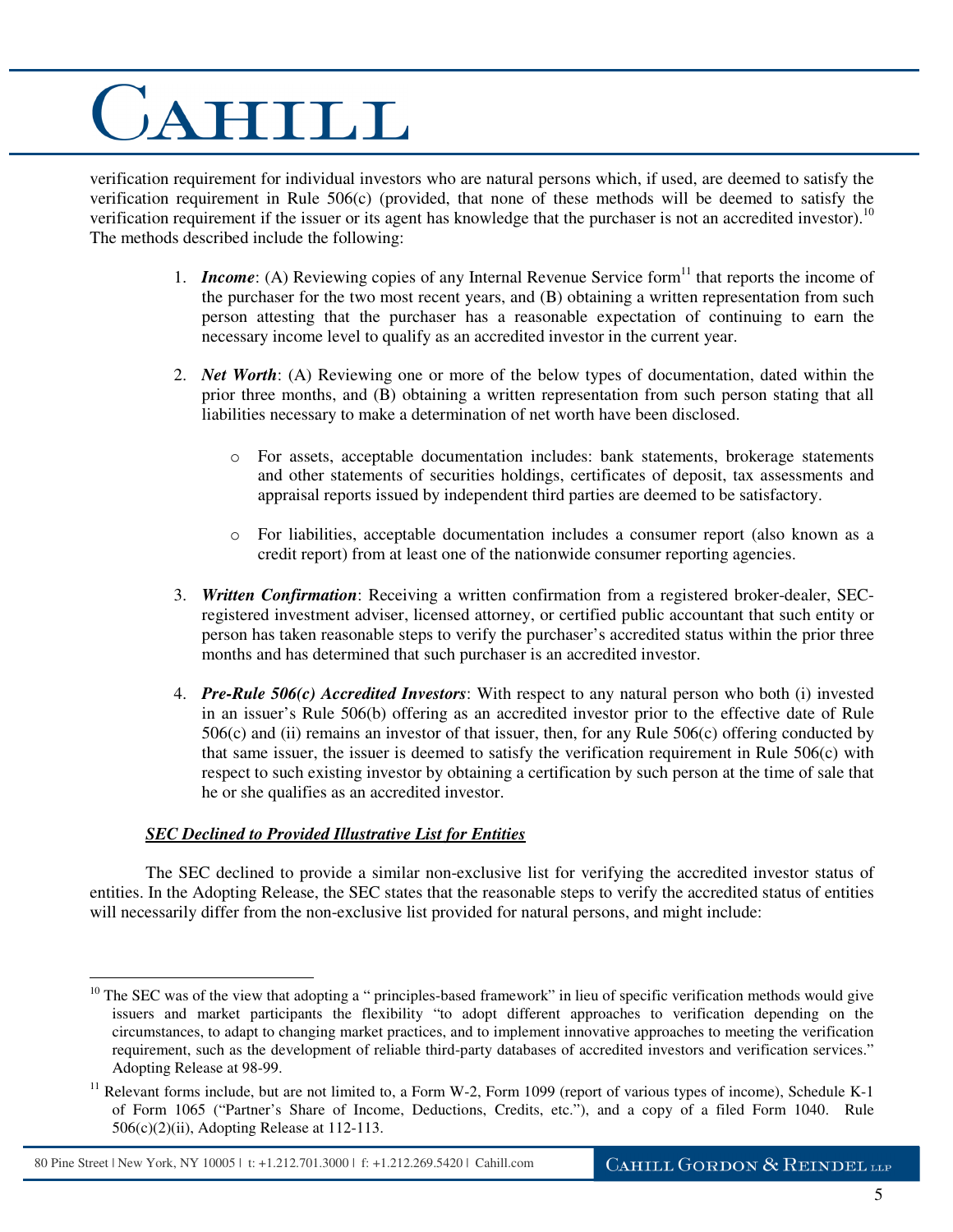verification requirement for individual investors who are natural persons which, if used, are deemed to satisfy the verification requirement in Rule 506(c) (provided, that none of these methods will be deemed to satisfy the verification requirement if the issuer or its agent has knowledge that the purchaser is not an accredited investor).<sup>10</sup> The methods described include the following:

- 1. *Income*: (A) Reviewing copies of any Internal Revenue Service form<sup>11</sup> that reports the income of the purchaser for the two most recent years, and (B) obtaining a written representation from such person attesting that the purchaser has a reasonable expectation of continuing to earn the necessary income level to qualify as an accredited investor in the current year.
- 2. *Net Worth*: (A) Reviewing one or more of the below types of documentation, dated within the prior three months, and (B) obtaining a written representation from such person stating that all liabilities necessary to make a determination of net worth have been disclosed.
	- o For assets, acceptable documentation includes: bank statements, brokerage statements and other statements of securities holdings, certificates of deposit, tax assessments and appraisal reports issued by independent third parties are deemed to be satisfactory.
	- o For liabilities, acceptable documentation includes a consumer report (also known as a credit report) from at least one of the nationwide consumer reporting agencies.
- 3. *Written Confirmation*: Receiving a written confirmation from a registered broker-dealer, SECregistered investment adviser, licensed attorney, or certified public accountant that such entity or person has taken reasonable steps to verify the purchaser's accredited status within the prior three months and has determined that such purchaser is an accredited investor.
- 4. *Pre-Rule 506(c) Accredited Investors*: With respect to any natural person who both (i) invested in an issuer's Rule 506(b) offering as an accredited investor prior to the effective date of Rule 506(c) and (ii) remains an investor of that issuer, then, for any Rule 506(c) offering conducted by that same issuer, the issuer is deemed to satisfy the verification requirement in Rule 506(c) with respect to such existing investor by obtaining a certification by such person at the time of sale that he or she qualifies as an accredited investor.

### *SEC Declined to Provided Illustrative List for Entities*

The SEC declined to provide a similar non-exclusive list for verifying the accredited investor status of entities. In the Adopting Release, the SEC states that the reasonable steps to verify the accredited status of entities will necessarily differ from the non-exclusive list provided for natural persons, and might include:

 $\overline{a}$  $10$  The SEC was of the view that adopting a " principles-based framework" in lieu of specific verification methods would give issuers and market participants the flexibility "to adopt different approaches to verification depending on the circumstances, to adapt to changing market practices, and to implement innovative approaches to meeting the verification requirement, such as the development of reliable third-party databases of accredited investors and verification services." Adopting Release at 98-99.

 $11$  Relevant forms include, but are not limited to, a Form W-2, Form 1099 (report of various types of income), Schedule K-1 of Form 1065 ("Partner's Share of Income, Deductions, Credits, etc."), and a copy of a filed Form 1040. Rule 506(c)(2)(ii), Adopting Release at 112-113.

<sup>80</sup> Pine Street | New York, NY 10005 | t: +1.212.701.3000 | f: +1.212.269.5420 | Cahill.com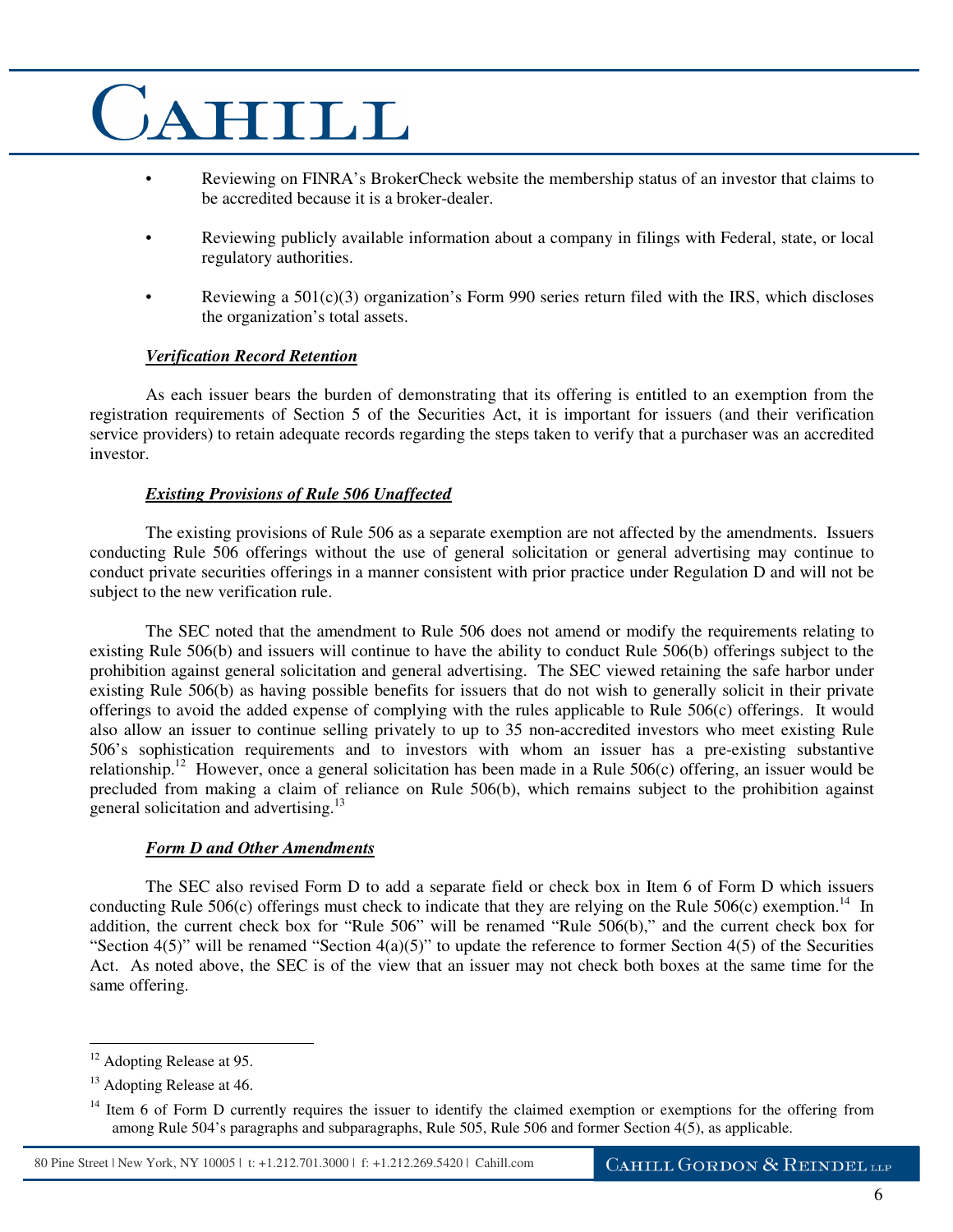- Reviewing on FINRA's BrokerCheck website the membership status of an investor that claims to be accredited because it is a broker-dealer.
- Reviewing publicly available information about a company in filings with Federal, state, or local regulatory authorities.
- Reviewing a  $501(c)(3)$  organization's Form 990 series return filed with the IRS, which discloses the organization's total assets.

### *Verification Record Retention*

As each issuer bears the burden of demonstrating that its offering is entitled to an exemption from the registration requirements of Section 5 of the Securities Act, it is important for issuers (and their verification service providers) to retain adequate records regarding the steps taken to verify that a purchaser was an accredited investor.

### *Existing Provisions of Rule 506 Unaffected*

The existing provisions of Rule 506 as a separate exemption are not affected by the amendments. Issuers conducting Rule 506 offerings without the use of general solicitation or general advertising may continue to conduct private securities offerings in a manner consistent with prior practice under Regulation D and will not be subject to the new verification rule.

The SEC noted that the amendment to Rule 506 does not amend or modify the requirements relating to existing Rule 506(b) and issuers will continue to have the ability to conduct Rule 506(b) offerings subject to the prohibition against general solicitation and general advertising. The SEC viewed retaining the safe harbor under existing Rule 506(b) as having possible benefits for issuers that do not wish to generally solicit in their private offerings to avoid the added expense of complying with the rules applicable to Rule 506(c) offerings. It would also allow an issuer to continue selling privately to up to 35 non-accredited investors who meet existing Rule 506's sophistication requirements and to investors with whom an issuer has a pre-existing substantive relationship.<sup>12</sup> However, once a general solicitation has been made in a Rule  $506(c)$  offering, an issuer would be precluded from making a claim of reliance on Rule 506(b), which remains subject to the prohibition against general solicitation and advertising.<sup>13</sup>

### *Form D and Other Amendments*

The SEC also revised Form D to add a separate field or check box in Item 6 of Form D which issuers conducting Rule 506(c) offerings must check to indicate that they are relying on the Rule 506(c) exemption.<sup>14</sup> In addition, the current check box for "Rule 506" will be renamed "Rule 506(b)," and the current check box for "Section 4(5)" will be renamed "Section 4(a)(5)" to update the reference to former Section 4(5) of the Securities Act. As noted above, the SEC is of the view that an issuer may not check both boxes at the same time for the same offering.

<sup>&</sup>lt;sup>12</sup> Adopting Release at 95.

<sup>&</sup>lt;sup>13</sup> Adopting Release at 46.

 $14$  Item 6 of Form D currently requires the issuer to identify the claimed exemption or exemptions for the offering from among Rule 504's paragraphs and subparagraphs, Rule 505, Rule 506 and former Section 4(5), as applicable.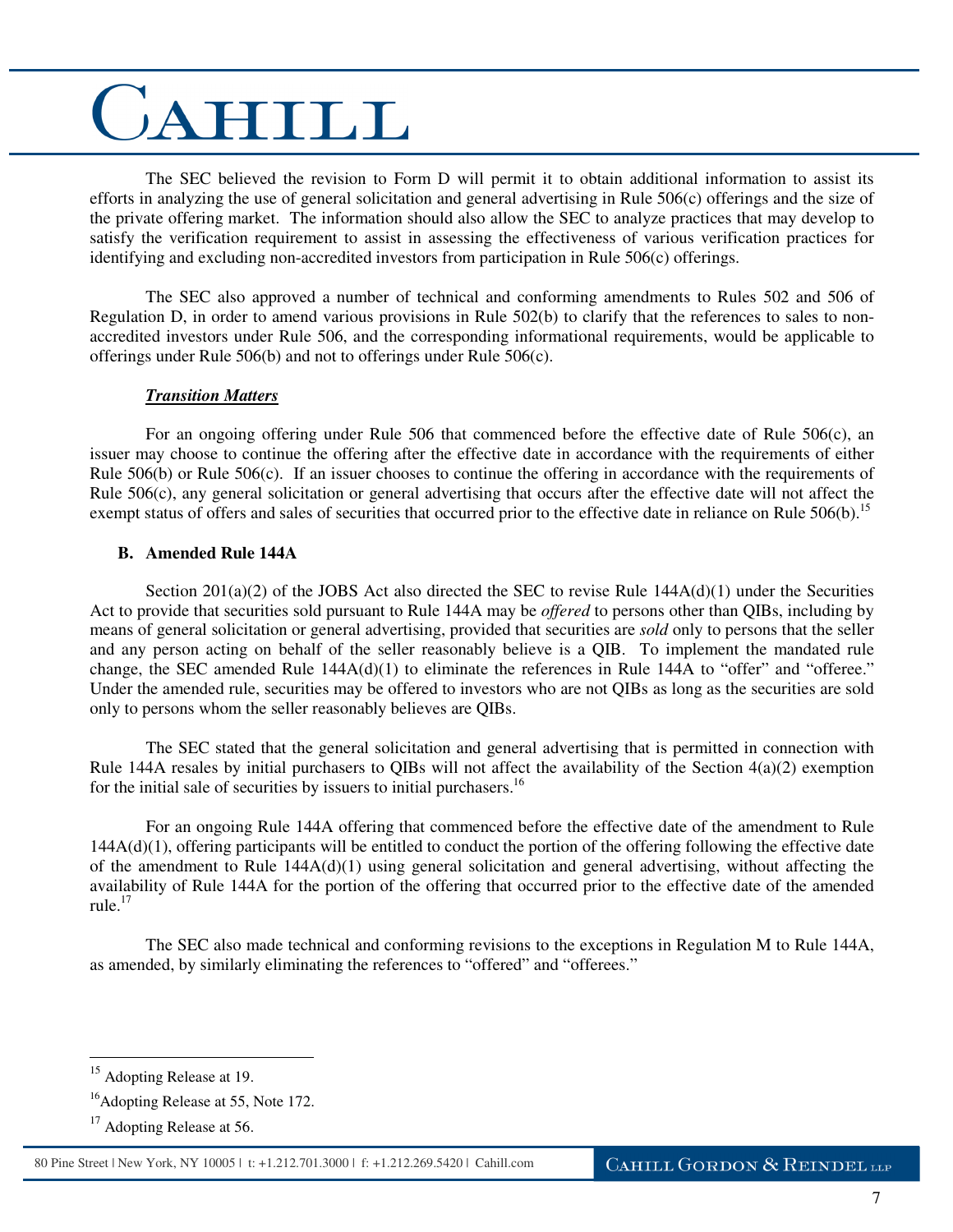The SEC believed the revision to Form D will permit it to obtain additional information to assist its efforts in analyzing the use of general solicitation and general advertising in Rule 506(c) offerings and the size of the private offering market. The information should also allow the SEC to analyze practices that may develop to satisfy the verification requirement to assist in assessing the effectiveness of various verification practices for identifying and excluding non-accredited investors from participation in Rule 506(c) offerings.

The SEC also approved a number of technical and conforming amendments to Rules 502 and 506 of Regulation D, in order to amend various provisions in Rule 502(b) to clarify that the references to sales to nonaccredited investors under Rule 506, and the corresponding informational requirements, would be applicable to offerings under Rule 506(b) and not to offerings under Rule 506(c).

### *Transition Matters*

For an ongoing offering under Rule 506 that commenced before the effective date of Rule 506(c), an issuer may choose to continue the offering after the effective date in accordance with the requirements of either Rule 506(b) or Rule 506(c). If an issuer chooses to continue the offering in accordance with the requirements of Rule  $506(c)$ , any general solicitation or general advertising that occurs after the effective date will not affect the exempt status of offers and sales of securities that occurred prior to the effective date in reliance on Rule 506(b).<sup>15</sup>

### **B. Amended Rule 144A**

Section 201(a)(2) of the JOBS Act also directed the SEC to revise Rule  $144A(d)(1)$  under the Securities Act to provide that securities sold pursuant to Rule 144A may be *offered* to persons other than QIBs, including by means of general solicitation or general advertising, provided that securities are *sold* only to persons that the seller and any person acting on behalf of the seller reasonably believe is a QIB. To implement the mandated rule change, the SEC amended Rule  $144A(d)(1)$  to eliminate the references in Rule 144A to "offer" and "offeree." Under the amended rule, securities may be offered to investors who are not QIBs as long as the securities are sold only to persons whom the seller reasonably believes are QIBs.

The SEC stated that the general solicitation and general advertising that is permitted in connection with Rule 144A resales by initial purchasers to QIBs will not affect the availability of the Section 4(a)(2) exemption for the initial sale of securities by issuers to initial purchasers.<sup>16</sup>

For an ongoing Rule 144A offering that commenced before the effective date of the amendment to Rule 144A(d)(1), offering participants will be entitled to conduct the portion of the offering following the effective date of the amendment to Rule  $144A(d)(1)$  using general solicitation and general advertising, without affecting the availability of Rule 144A for the portion of the offering that occurred prior to the effective date of the amended rule. $17$ 

The SEC also made technical and conforming revisions to the exceptions in Regulation M to Rule 144A, as amended, by similarly eliminating the references to "offered" and "offerees."

<sup>&</sup>lt;sup>15</sup> Adopting Release at 19.

<sup>&</sup>lt;sup>16</sup>Adopting Release at 55, Note 172.

 $17$  Adopting Release at 56.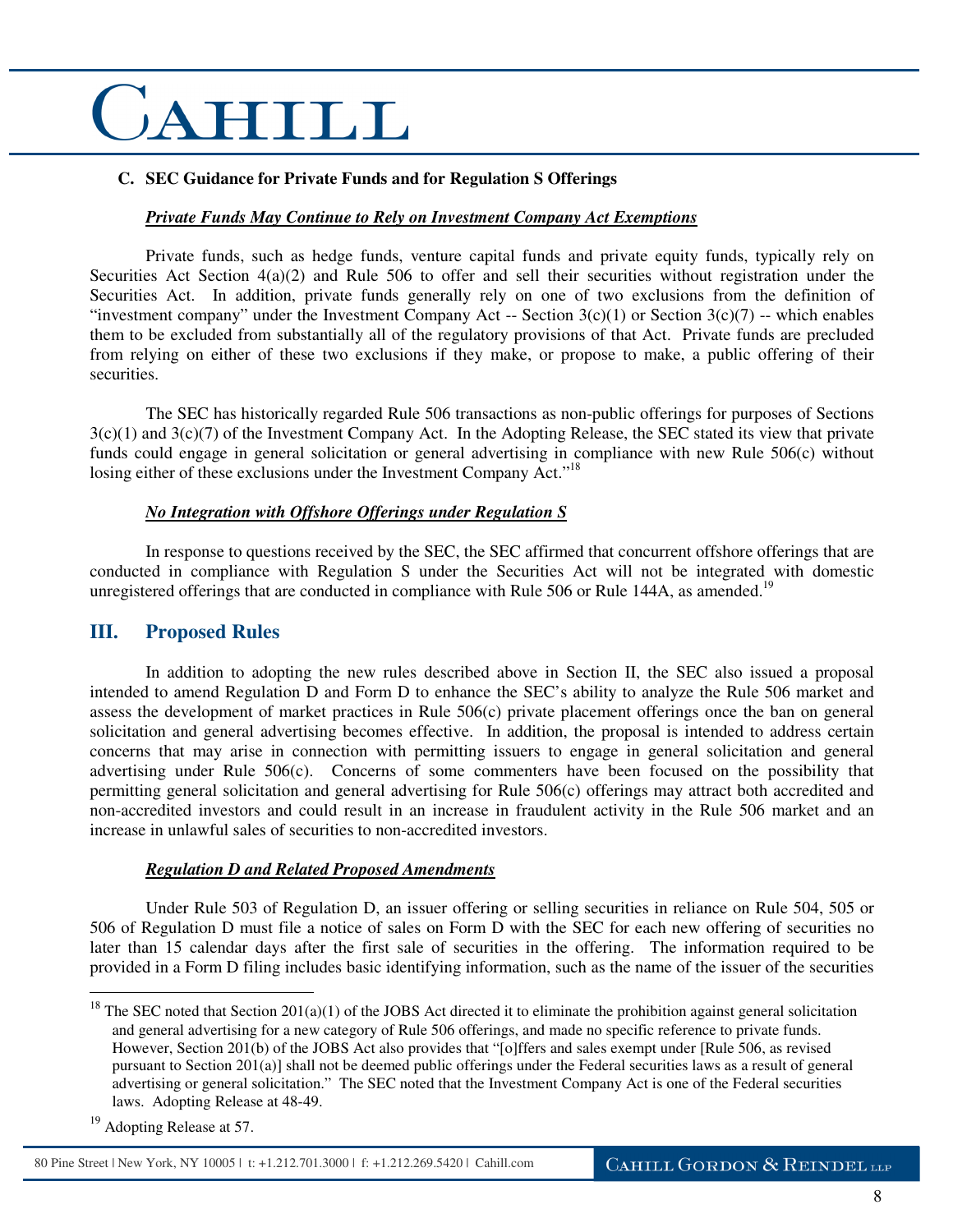### **C. SEC Guidance for Private Funds and for Regulation S Offerings**

### *Private Funds May Continue to Rely on Investment Company Act Exemptions*

Private funds, such as hedge funds, venture capital funds and private equity funds, typically rely on Securities Act Section 4(a)(2) and Rule 506 to offer and sell their securities without registration under the Securities Act. In addition, private funds generally rely on one of two exclusions from the definition of "investment company" under the Investment Company Act -- Section  $3(c)(1)$  or Section  $3(c)(7)$  -- which enables them to be excluded from substantially all of the regulatory provisions of that Act. Private funds are precluded from relying on either of these two exclusions if they make, or propose to make, a public offering of their securities.

The SEC has historically regarded Rule 506 transactions as non-public offerings for purposes of Sections  $3(c)(1)$  and  $3(c)(7)$  of the Investment Company Act. In the Adopting Release, the SEC stated its view that private funds could engage in general solicitation or general advertising in compliance with new Rule 506(c) without losing either of these exclusions under the Investment Company Act."<sup>18</sup>

### *No Integration with Offshore Offerings under Regulation S*

In response to questions received by the SEC, the SEC affirmed that concurrent offshore offerings that are conducted in compliance with Regulation S under the Securities Act will not be integrated with domestic unregistered offerings that are conducted in compliance with Rule 506 or Rule 144A, as amended.<sup>19</sup>

### **III. Proposed Rules**

 In addition to adopting the new rules described above in Section II, the SEC also issued a proposal intended to amend Regulation D and Form D to enhance the SEC's ability to analyze the Rule 506 market and assess the development of market practices in Rule 506(c) private placement offerings once the ban on general solicitation and general advertising becomes effective. In addition, the proposal is intended to address certain concerns that may arise in connection with permitting issuers to engage in general solicitation and general advertising under Rule 506(c). Concerns of some commenters have been focused on the possibility that permitting general solicitation and general advertising for Rule 506(c) offerings may attract both accredited and non-accredited investors and could result in an increase in fraudulent activity in the Rule 506 market and an increase in unlawful sales of securities to non-accredited investors.

#### *Regulation D and Related Proposed Amendments*

 Under Rule 503 of Regulation D, an issuer offering or selling securities in reliance on Rule 504, 505 or 506 of Regulation D must file a notice of sales on Form D with the SEC for each new offering of securities no later than 15 calendar days after the first sale of securities in the offering. The information required to be provided in a Form D filing includes basic identifying information, such as the name of the issuer of the securities

 $\overline{a}$ 

80 Pine Street | New York, NY 10005 | t: +1.212.701.3000 | f: +1.212.269.5420 | Cahill.com

<sup>&</sup>lt;sup>18</sup> The SEC noted that Section 201(a)(1) of the JOBS Act directed it to eliminate the prohibition against general solicitation and general advertising for a new category of Rule 506 offerings, and made no specific reference to private funds. However, Section 201(b) of the JOBS Act also provides that "[o]ffers and sales exempt under [Rule 506, as revised pursuant to Section 201(a)] shall not be deemed public offerings under the Federal securities laws as a result of general advertising or general solicitation." The SEC noted that the Investment Company Act is one of the Federal securities laws. Adopting Release at 48-49.

<sup>&</sup>lt;sup>19</sup> Adopting Release at 57.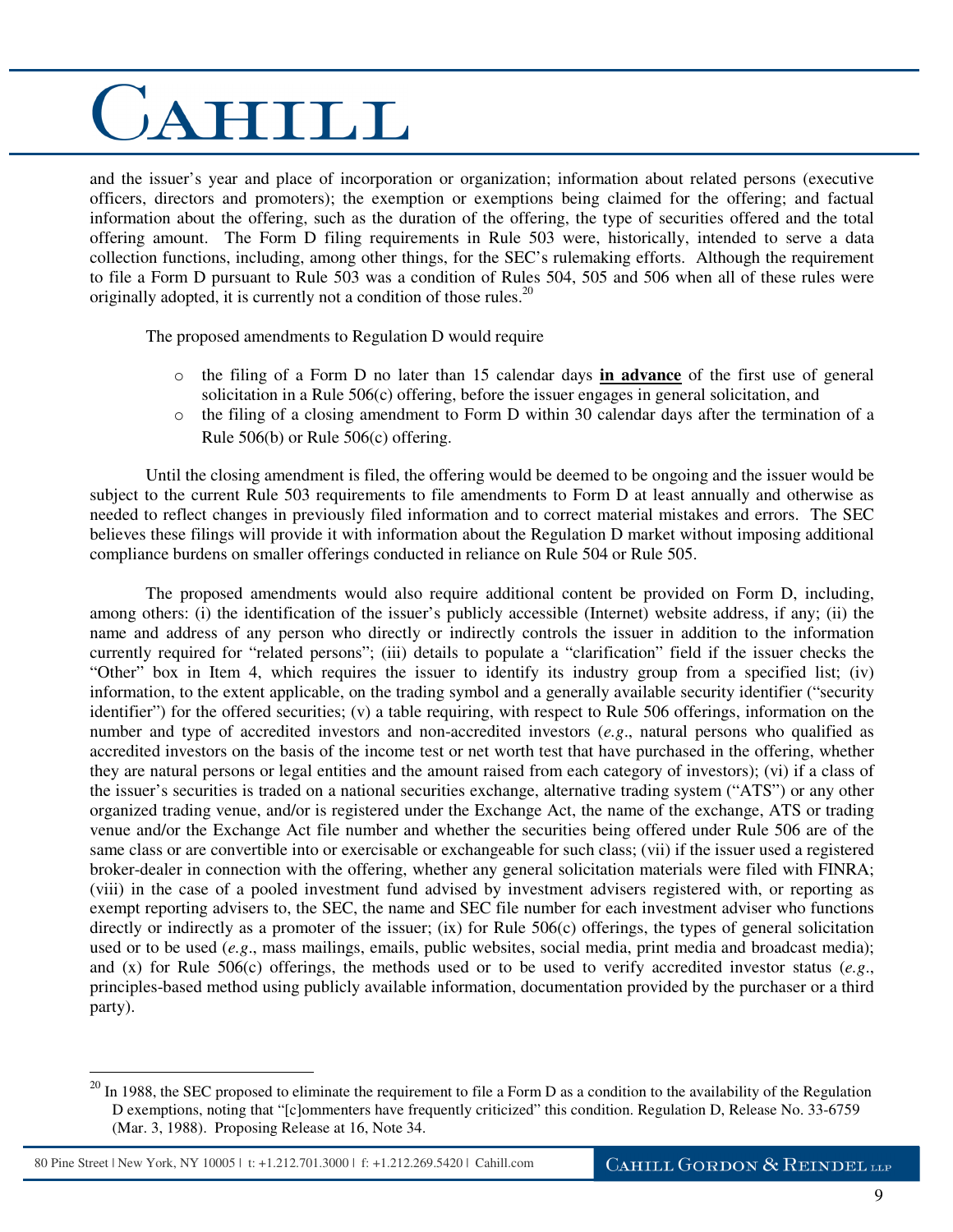and the issuer's year and place of incorporation or organization; information about related persons (executive officers, directors and promoters); the exemption or exemptions being claimed for the offering; and factual information about the offering, such as the duration of the offering, the type of securities offered and the total offering amount. The Form D filing requirements in Rule 503 were, historically, intended to serve a data collection functions, including, among other things, for the SEC's rulemaking efforts. Although the requirement to file a Form D pursuant to Rule 503 was a condition of Rules 504, 505 and 506 when all of these rules were originally adopted, it is currently not a condition of those rules.<sup>20</sup>

The proposed amendments to Regulation D would require

- o the filing of a Form D no later than 15 calendar days **in advance** of the first use of general solicitation in a Rule 506(c) offering, before the issuer engages in general solicitation, and
- $\circ$  the filing of a closing amendment to Form D within 30 calendar days after the termination of a Rule 506(b) or Rule 506(c) offering.

 Until the closing amendment is filed, the offering would be deemed to be ongoing and the issuer would be subject to the current Rule 503 requirements to file amendments to Form D at least annually and otherwise as needed to reflect changes in previously filed information and to correct material mistakes and errors. The SEC believes these filings will provide it with information about the Regulation D market without imposing additional compliance burdens on smaller offerings conducted in reliance on Rule 504 or Rule 505.

 The proposed amendments would also require additional content be provided on Form D, including, among others: (i) the identification of the issuer's publicly accessible (Internet) website address, if any; (ii) the name and address of any person who directly or indirectly controls the issuer in addition to the information currently required for "related persons"; (iii) details to populate a "clarification" field if the issuer checks the "Other" box in Item 4, which requires the issuer to identify its industry group from a specified list; (iv) information, to the extent applicable, on the trading symbol and a generally available security identifier ("security identifier") for the offered securities; (v) a table requiring, with respect to Rule 506 offerings, information on the number and type of accredited investors and non-accredited investors (*e.g*., natural persons who qualified as accredited investors on the basis of the income test or net worth test that have purchased in the offering, whether they are natural persons or legal entities and the amount raised from each category of investors); (vi) if a class of the issuer's securities is traded on a national securities exchange, alternative trading system ("ATS") or any other organized trading venue, and/or is registered under the Exchange Act, the name of the exchange, ATS or trading venue and/or the Exchange Act file number and whether the securities being offered under Rule 506 are of the same class or are convertible into or exercisable or exchangeable for such class; (vii) if the issuer used a registered broker-dealer in connection with the offering, whether any general solicitation materials were filed with FINRA; (viii) in the case of a pooled investment fund advised by investment advisers registered with, or reporting as exempt reporting advisers to, the SEC, the name and SEC file number for each investment adviser who functions directly or indirectly as a promoter of the issuer; (ix) for Rule 506(c) offerings, the types of general solicitation used or to be used (*e.g*., mass mailings, emails, public websites, social media, print media and broadcast media); and (x) for Rule 506(c) offerings, the methods used or to be used to verify accredited investor status (*e.g*., principles-based method using publicly available information, documentation provided by the purchaser or a third party).

 $^{20}$  In 1988, the SEC proposed to eliminate the requirement to file a Form D as a condition to the availability of the Regulation D exemptions, noting that "[c]ommenters have frequently criticized" this condition. Regulation D, Release No. 33-6759 (Mar. 3, 1988). Proposing Release at 16, Note 34.

<sup>80</sup> Pine Street | New York, NY 10005 | t: +1.212.701.3000 | f: +1.212.269.5420 | Cahill.com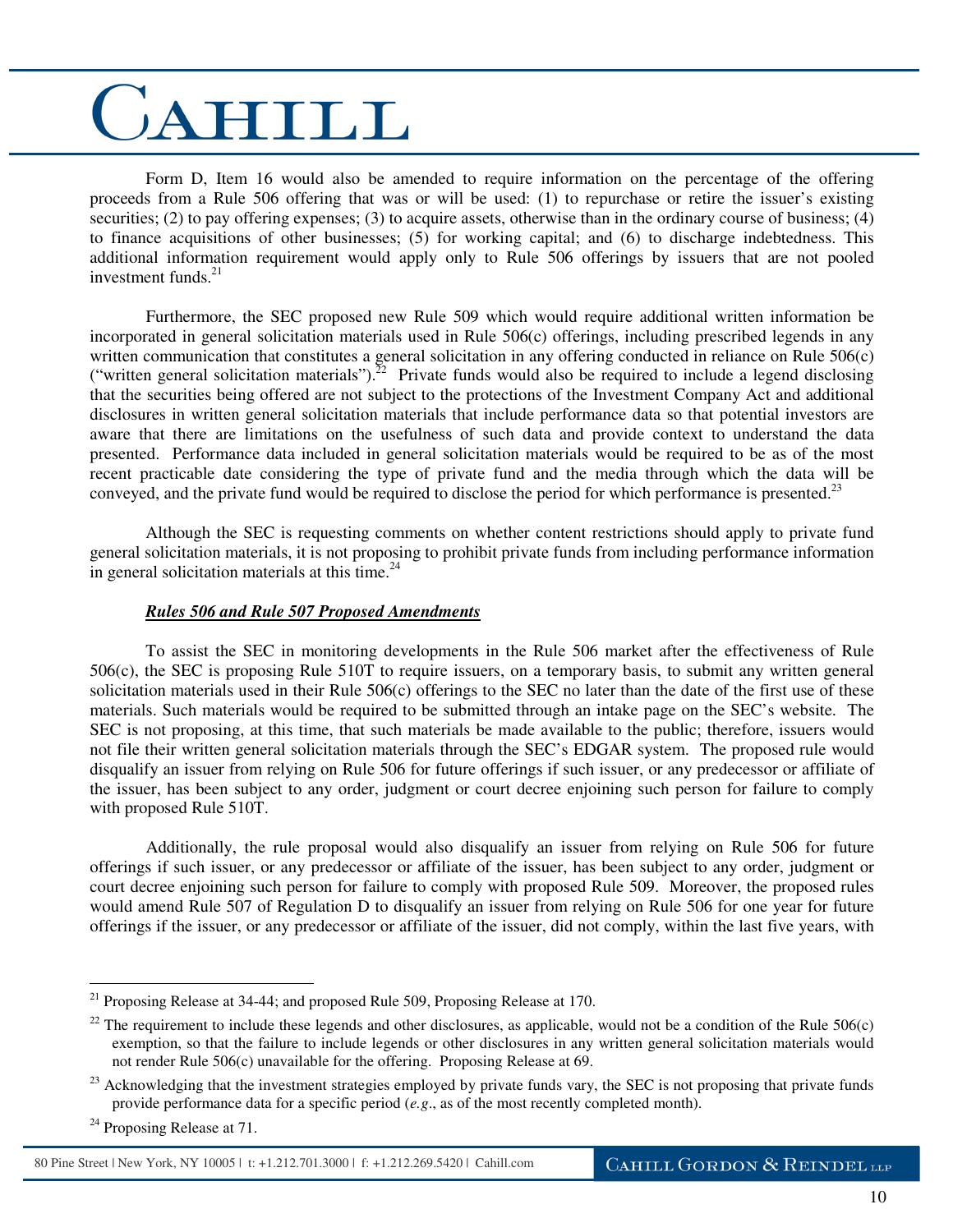Form D, Item 16 would also be amended to require information on the percentage of the offering proceeds from a Rule 506 offering that was or will be used: (1) to repurchase or retire the issuer's existing securities; (2) to pay offering expenses; (3) to acquire assets, otherwise than in the ordinary course of business; (4) to finance acquisitions of other businesses; (5) for working capital; and (6) to discharge indebtedness. This additional information requirement would apply only to Rule 506 offerings by issuers that are not pooled investment funds. $^{21}$ 

 Furthermore, the SEC proposed new Rule 509 which would require additional written information be incorporated in general solicitation materials used in Rule 506(c) offerings, including prescribed legends in any written communication that constitutes a general solicitation in any offering conducted in reliance on Rule 506(c) ("written general solicitation materials").<sup>22</sup> Private funds would also be required to include a legend disclosing that the securities being offered are not subject to the protections of the Investment Company Act and additional disclosures in written general solicitation materials that include performance data so that potential investors are aware that there are limitations on the usefulness of such data and provide context to understand the data presented. Performance data included in general solicitation materials would be required to be as of the most recent practicable date considering the type of private fund and the media through which the data will be conveyed, and the private fund would be required to disclose the period for which performance is presented.<sup>23</sup>

 Although the SEC is requesting comments on whether content restrictions should apply to private fund general solicitation materials, it is not proposing to prohibit private funds from including performance information in general solicitation materials at this time. $24$ 

### *Rules 506 and Rule 507 Proposed Amendments*

 To assist the SEC in monitoring developments in the Rule 506 market after the effectiveness of Rule 506(c), the SEC is proposing Rule 510T to require issuers, on a temporary basis, to submit any written general solicitation materials used in their Rule  $506(c)$  offerings to the SEC no later than the date of the first use of these materials. Such materials would be required to be submitted through an intake page on the SEC's website. The SEC is not proposing, at this time, that such materials be made available to the public; therefore, issuers would not file their written general solicitation materials through the SEC's EDGAR system. The proposed rule would disqualify an issuer from relying on Rule 506 for future offerings if such issuer, or any predecessor or affiliate of the issuer, has been subject to any order, judgment or court decree enjoining such person for failure to comply with proposed Rule 510T.

 Additionally, the rule proposal would also disqualify an issuer from relying on Rule 506 for future offerings if such issuer, or any predecessor or affiliate of the issuer, has been subject to any order, judgment or court decree enjoining such person for failure to comply with proposed Rule 509. Moreover, the proposed rules would amend Rule 507 of Regulation D to disqualify an issuer from relying on Rule 506 for one year for future offerings if the issuer, or any predecessor or affiliate of the issuer, did not comply, within the last five years, with

80 Pine Street | New York, NY 10005 | t: +1.212.701.3000 | f: +1.212.269.5420 | Cahill.com

 $21$  Proposing Release at 34-44; and proposed Rule 509, Proposing Release at 170.

<sup>&</sup>lt;sup>22</sup> The requirement to include these legends and other disclosures, as applicable, would not be a condition of the Rule  $506(c)$ exemption, so that the failure to include legends or other disclosures in any written general solicitation materials would not render Rule 506(c) unavailable for the offering. Proposing Release at 69.

<sup>&</sup>lt;sup>23</sup> Acknowledging that the investment strategies employed by private funds vary, the SEC is not proposing that private funds provide performance data for a specific period (*e.g*., as of the most recently completed month).

 $24$  Proposing Release at 71.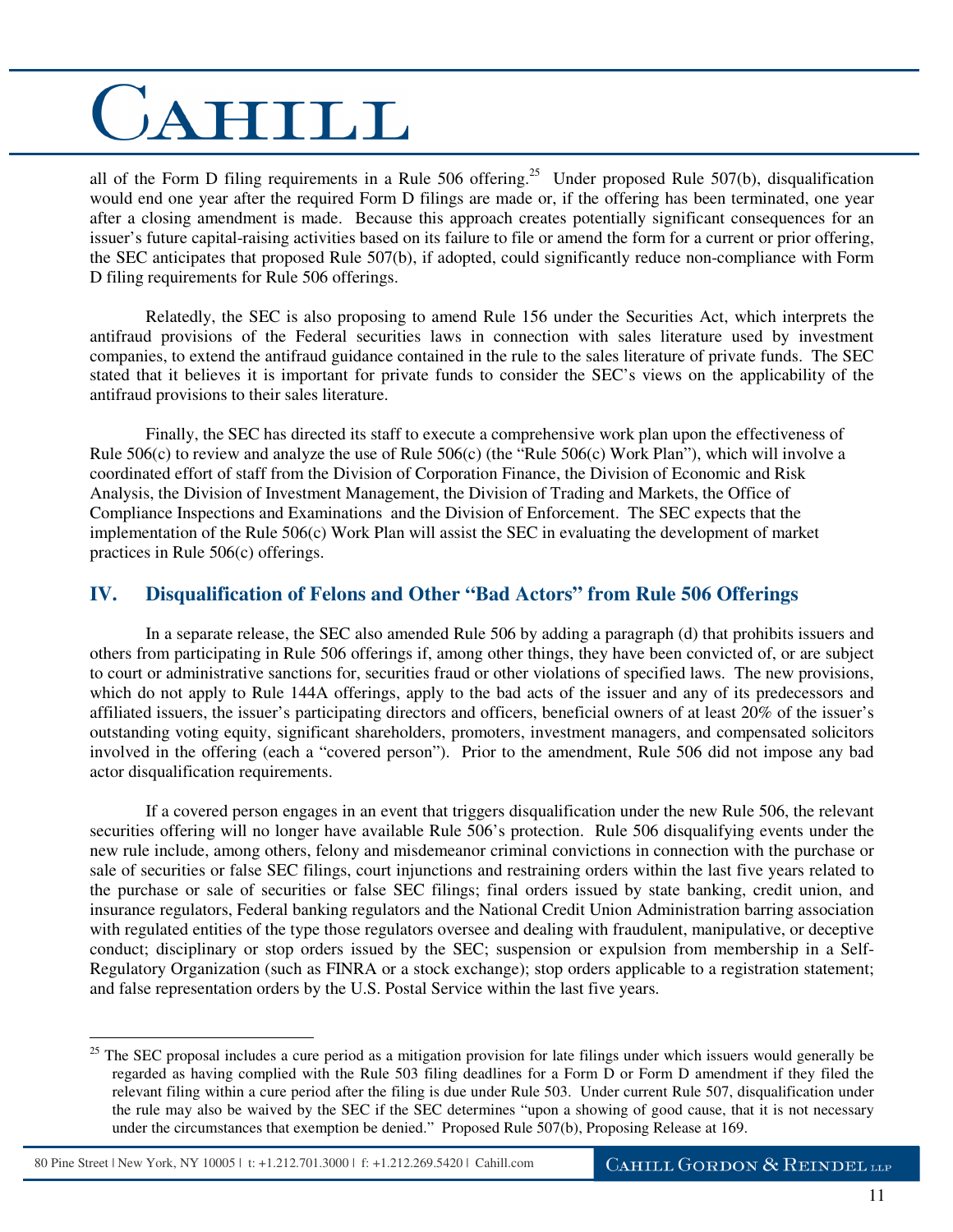all of the Form D filing requirements in a Rule 506 offering.<sup>25</sup> Under proposed Rule 507(b), disqualification would end one year after the required Form D filings are made or, if the offering has been terminated, one year after a closing amendment is made. Because this approach creates potentially significant consequences for an issuer's future capital-raising activities based on its failure to file or amend the form for a current or prior offering, the SEC anticipates that proposed Rule 507(b), if adopted, could significantly reduce non-compliance with Form D filing requirements for Rule 506 offerings.

 Relatedly, the SEC is also proposing to amend Rule 156 under the Securities Act, which interprets the antifraud provisions of the Federal securities laws in connection with sales literature used by investment companies, to extend the antifraud guidance contained in the rule to the sales literature of private funds. The SEC stated that it believes it is important for private funds to consider the SEC's views on the applicability of the antifraud provisions to their sales literature.

 Finally, the SEC has directed its staff to execute a comprehensive work plan upon the effectiveness of Rule 506(c) to review and analyze the use of Rule 506(c) (the "Rule 506(c) Work Plan"), which will involve a coordinated effort of staff from the Division of Corporation Finance, the Division of Economic and Risk Analysis, the Division of Investment Management, the Division of Trading and Markets, the Office of Compliance Inspections and Examinations and the Division of Enforcement. The SEC expects that the implementation of the Rule 506(c) Work Plan will assist the SEC in evaluating the development of market practices in Rule 506(c) offerings.

### **IV. Disqualification of Felons and Other "Bad Actors" from Rule 506 Offerings**

 In a separate release, the SEC also amended Rule 506 by adding a paragraph (d) that prohibits issuers and others from participating in Rule 506 offerings if, among other things, they have been convicted of, or are subject to court or administrative sanctions for, securities fraud or other violations of specified laws. The new provisions, which do not apply to Rule 144A offerings, apply to the bad acts of the issuer and any of its predecessors and affiliated issuers, the issuer's participating directors and officers, beneficial owners of at least 20% of the issuer's outstanding voting equity, significant shareholders, promoters, investment managers, and compensated solicitors involved in the offering (each a "covered person"). Prior to the amendment, Rule 506 did not impose any bad actor disqualification requirements.

 If a covered person engages in an event that triggers disqualification under the new Rule 506, the relevant securities offering will no longer have available Rule 506's protection. Rule 506 disqualifying events under the new rule include, among others, felony and misdemeanor criminal convictions in connection with the purchase or sale of securities or false SEC filings, court injunctions and restraining orders within the last five years related to the purchase or sale of securities or false SEC filings; final orders issued by state banking, credit union, and insurance regulators, Federal banking regulators and the National Credit Union Administration barring association with regulated entities of the type those regulators oversee and dealing with fraudulent, manipulative, or deceptive conduct; disciplinary or stop orders issued by the SEC; suspension or expulsion from membership in a Self-Regulatory Organization (such as FINRA or a stock exchange); stop orders applicable to a registration statement; and false representation orders by the U.S. Postal Service within the last five years.

 $\overline{a}$  $25$  The SEC proposal includes a cure period as a mitigation provision for late filings under which issuers would generally be regarded as having complied with the Rule 503 filing deadlines for a Form D or Form D amendment if they filed the relevant filing within a cure period after the filing is due under Rule 503. Under current Rule 507, disqualification under the rule may also be waived by the SEC if the SEC determines "upon a showing of good cause, that it is not necessary under the circumstances that exemption be denied." Proposed Rule 507(b), Proposing Release at 169.